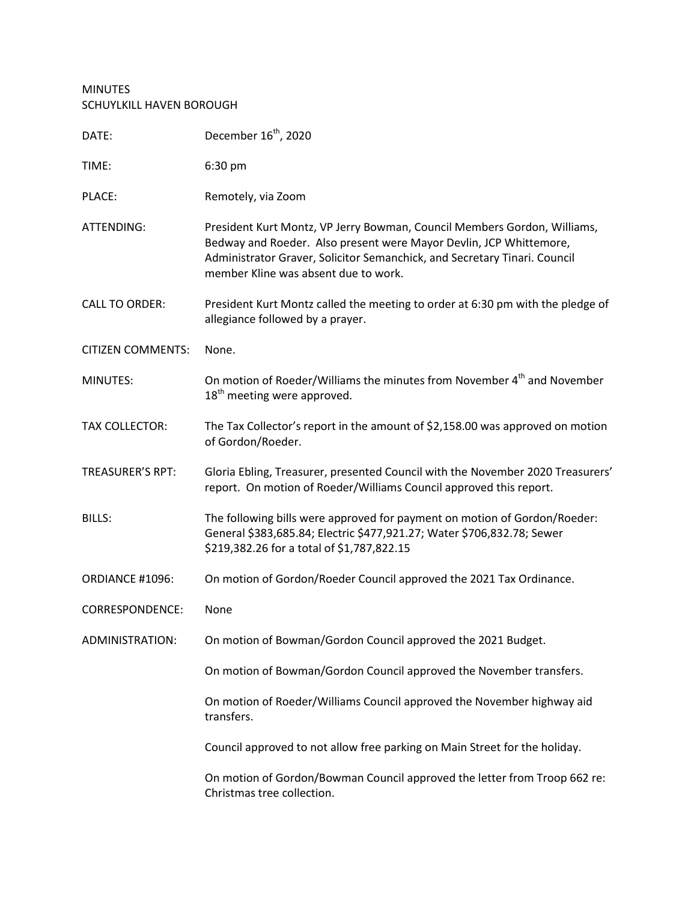## MINUTES SCHUYLKILL HAVEN BOROUGH

| DATE:                    | December 16 <sup>th</sup> , 2020                                                                                                                                                                                                                                    |  |
|--------------------------|---------------------------------------------------------------------------------------------------------------------------------------------------------------------------------------------------------------------------------------------------------------------|--|
| TIME:                    | 6:30 pm                                                                                                                                                                                                                                                             |  |
| PLACE:                   | Remotely, via Zoom                                                                                                                                                                                                                                                  |  |
| ATTENDING:               | President Kurt Montz, VP Jerry Bowman, Council Members Gordon, Williams,<br>Bedway and Roeder. Also present were Mayor Devlin, JCP Whittemore,<br>Administrator Graver, Solicitor Semanchick, and Secretary Tinari. Council<br>member Kline was absent due to work. |  |
| <b>CALL TO ORDER:</b>    | President Kurt Montz called the meeting to order at 6:30 pm with the pledge of<br>allegiance followed by a prayer.                                                                                                                                                  |  |
| <b>CITIZEN COMMENTS:</b> | None.                                                                                                                                                                                                                                                               |  |
| <b>MINUTES:</b>          | On motion of Roeder/Williams the minutes from November 4 <sup>th</sup> and November<br>18 <sup>th</sup> meeting were approved.                                                                                                                                      |  |
| <b>TAX COLLECTOR:</b>    | The Tax Collector's report in the amount of \$2,158.00 was approved on motion<br>of Gordon/Roeder.                                                                                                                                                                  |  |
| <b>TREASURER'S RPT:</b>  | Gloria Ebling, Treasurer, presented Council with the November 2020 Treasurers'<br>report. On motion of Roeder/Williams Council approved this report.                                                                                                                |  |
| <b>BILLS:</b>            | The following bills were approved for payment on motion of Gordon/Roeder:<br>General \$383,685.84; Electric \$477,921.27; Water \$706,832.78; Sewer<br>\$219,382.26 for a total of \$1,787,822.15                                                                   |  |
| ORDIANCE #1096:          | On motion of Gordon/Roeder Council approved the 2021 Tax Ordinance.                                                                                                                                                                                                 |  |
| <b>CORRESPONDENCE:</b>   | None                                                                                                                                                                                                                                                                |  |
| ADMINISTRATION:          | On motion of Bowman/Gordon Council approved the 2021 Budget.                                                                                                                                                                                                        |  |
|                          | On motion of Bowman/Gordon Council approved the November transfers.                                                                                                                                                                                                 |  |
|                          | On motion of Roeder/Williams Council approved the November highway aid<br>transfers.                                                                                                                                                                                |  |
|                          | Council approved to not allow free parking on Main Street for the holiday.                                                                                                                                                                                          |  |
|                          | On motion of Gordon/Bowman Council approved the letter from Troop 662 re:<br>Christmas tree collection.                                                                                                                                                             |  |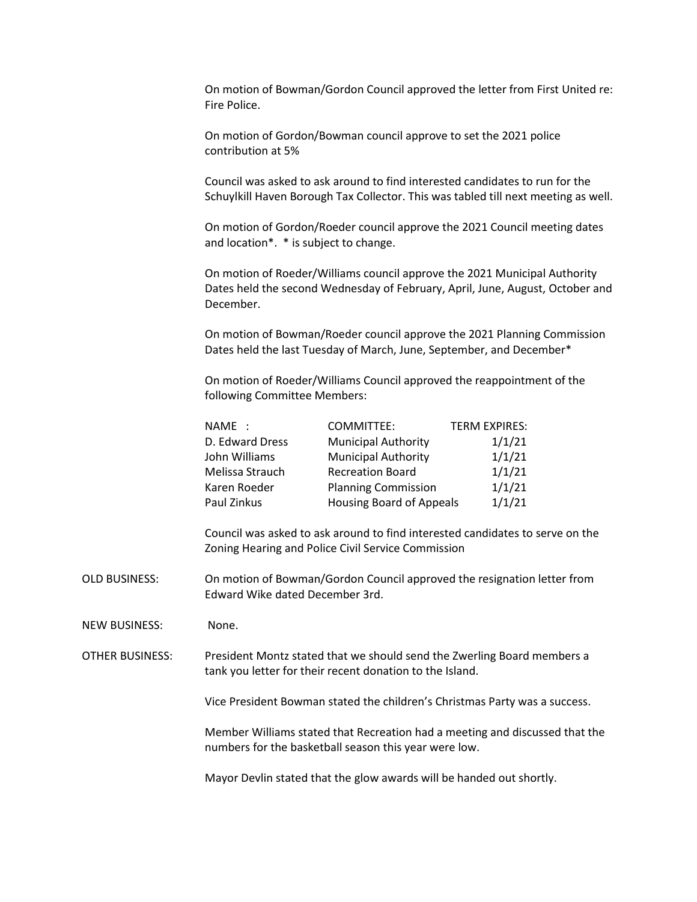On motion of Bowman/Gordon Council approved the letter from First United re: Fire Police.

On motion of Gordon/Bowman council approve to set the 2021 police contribution at 5%

Council was asked to ask around to find interested candidates to run for the Schuylkill Haven Borough Tax Collector. This was tabled till next meeting as well.

On motion of Gordon/Roeder council approve the 2021 Council meeting dates and location\*. \* is subject to change.

On motion of Roeder/Williams council approve the 2021 Municipal Authority Dates held the second Wednesday of February, April, June, August, October and December.

On motion of Bowman/Roeder council approve the 2021 Planning Commission Dates held the last Tuesday of March, June, September, and December\*

On motion of Roeder/Williams Council approved the reappointment of the following Committee Members:

| NAME :          | COMMITTEE:                      | <b>TERM EXPIRES:</b> |
|-----------------|---------------------------------|----------------------|
| D. Edward Dress | <b>Municipal Authority</b>      | 1/1/21               |
| John Williams   | <b>Municipal Authority</b>      | 1/1/21               |
| Melissa Strauch | <b>Recreation Board</b>         | 1/1/21               |
| Karen Roeder    | <b>Planning Commission</b>      | 1/1/21               |
| Paul Zinkus     | <b>Housing Board of Appeals</b> | 1/1/21               |

Council was asked to ask around to find interested candidates to serve on the Zoning Hearing and Police Civil Service Commission

OLD BUSINESS: On motion of Bowman/Gordon Council approved the resignation letter from Edward Wike dated December 3rd.

NEW BUSINESS: None.

OTHER BUSINESS: President Montz stated that we should send the Zwerling Board members a tank you letter for their recent donation to the Island.

Vice President Bowman stated the children's Christmas Party was a success.

Member Williams stated that Recreation had a meeting and discussed that the numbers for the basketball season this year were low.

Mayor Devlin stated that the glow awards will be handed out shortly.